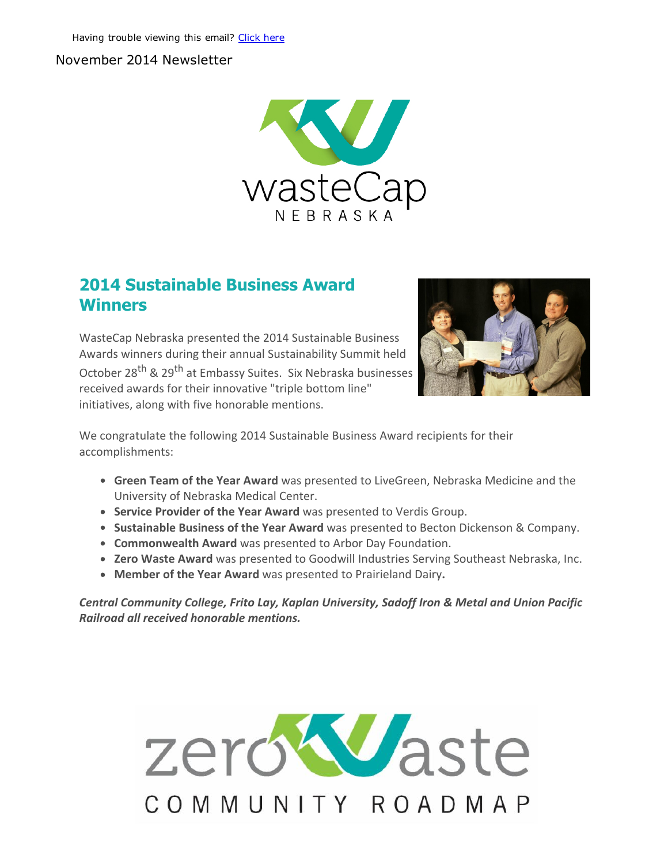#### November 2014 Newsletter



### 2014 Sustainable Business Award **Winners**

WasteCap Nebraska presented the 2014 Sustainable Business Awards winners during their annual Sustainability Summit held October 28<sup>th</sup> & 29<sup>th</sup> at Embassy Suites. Six Nebraska businesses received awards for their innovative "triple bottom line"

initiatives, along with five honorable mentions.



We congratulate the following 2014 Sustainable Business Award recipients for their accomplishments:

- **Green Team of the Year Award** was presented to LiveGreen, Nebraska Medicine and the University of Nebraska Medical Center.
- Service Provider of the Year Award was presented to Verdis Group.
- Sustainable Business of the Year Award was presented to Becton Dickenson & Company.
- Commonwealth Award was presented to Arbor Day Foundation.
- Zero Waste Award was presented to Goodwill Industries Serving Southeast Nebraska, Inc.
- Member of the Year Award was presented to Prairieland Dairy.

*Central Community College, Frito Lay, Kaplan University, Sadoff Iron & Metal and Union Pacific Railroad all received honorable mentions.*

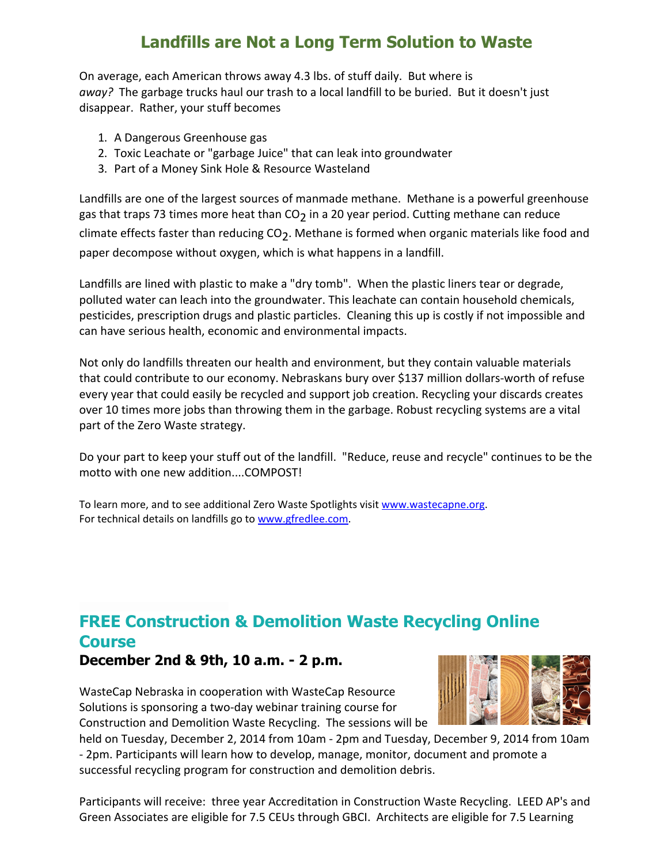# Landfills are Not a Long Term Solution to Waste

On average, each American throws away 4.3 lbs. of stuff daily. But where is *away?* The garbage trucks haul our trash to a local landfill to be buried. But it doesn't just disappear. Rather, your stuff becomes

- 1. A Dangerous Greenhouse gas
- 2. Toxic Leachate or "garbage Juice" that can leak into groundwater
- 3. Part of a Money Sink Hole & Resource Wasteland

Landfills are one of the largest sources of manmade methane. Methane is a powerful greenhouse gas that traps 73 times more heat than CO<sub>2</sub> in a 20 year period. Cutting methane can reduce climate effects faster than reducing  $CO_2$ . Methane is formed when organic materials like food and paper decompose without oxygen, which is what happens in a landfill.

Landfills are lined with plastic to make a "dry tomb". When the plastic liners tear or degrade, polluted water can leach into the groundwater. This leachate can contain household chemicals, pesticides, prescription drugs and plastic particles. Cleaning this up is costly if not impossible and can have serious health, economic and environmental impacts.

Not only do landfills threaten our health and environment, but they contain valuable materials that could contribute to our economy. Nebraskans bury over \$137 million dollars‐worth of refuse every year that could easily be recycled and support job creation. Recycling your discards creates over 10 times more jobs than throwing them in the garbage. Robust recycling systems are a vital part of the Zero Waste strategy.

Do your part to keep your stuff out of the landfill. "Reduce, reuse and recycle" continues to be the motto with one new addition....COMPOST!

To learn more, and to see additional Zero Waste Spotlights visit [www.wastecapne.org.](http://r20.rs6.net/tn.jsp?e=001-CXJBI5H2fPvYhC3QSl2w-quiORRejI95cSpnT0CNT8BHTrV9cDvCb4KFS8VuCjjEJ049XNqq9HAGJB1omL_vBFVF6sO1_qyfAvoFypD1so=) For technical details on landfills go to [www.gfredlee.com.](http://r20.rs6.net/tn.jsp?e=001-CXJBI5H2fPvYhC3QSl2w-quiORRejI95cSpnT0CNT8BHTrV9cDvCb4KFS8VuCjjEJ049XNqq9G0RPzFG_8aIdtt-Z8IdpIeOa46AzPBF9Q=)

## FREE Construction & Demolition Waste Recycling Online **Course** December 2nd & 9th, 10 a.m. 2 p.m.

WasteCap Nebraska in cooperation with WasteCap Resource Solutions is sponsoring a two‐day webinar training course for Construction and Demolition Waste Recycling. The sessions will be



held on Tuesday, December 2, 2014 from 10am ‐ 2pm and Tuesday, December 9, 2014 from 10am ‐ 2pm. Participants will learn how to develop, manage, monitor, document and promote a successful recycling program for construction and demolition debris.

Participants will receive: three year Accreditation in Construction Waste Recycling. LEED AP's and Green Associates are eligible for 7.5 CEUs through GBCI. Architects are eligible for 7.5 Learning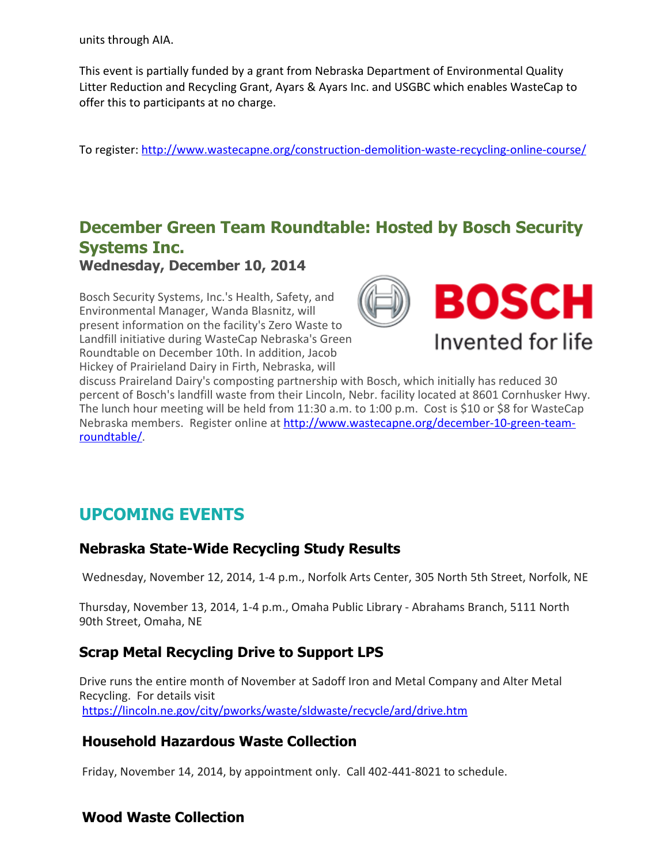units through AIA.

This event is partially funded by a grant from Nebraska Department of Environmental Quality Litter Reduction and Recycling Grant, Ayars & Ayars Inc. and USGBC which enables WasteCap to offer this to participants at no charge.

To register: [http://www.wastecapne.org/construction‐demolition‐waste‐recycling‐online‐course/](http://r20.rs6.net/tn.jsp?e=001-CXJBI5H2fPvYhC3QSl2w-quiORRejI95cSpnT0CNT8BHTrV9cDvCb4KFS8VuCjjEJ049XNqq9HAGJB1omL_vBFVF6sO1_qyxUAcsmdPECvJ2jQbiAP_lzAD2f2L_6nXS8U8La9rkgTSEpj81ENMBzWbExp_DJwmrkn7zcmvXkGZaqCnU2k9jA==)

## December Green Team Roundtable: Hosted by Bosch Security Systems Inc. Wednesday, December 10, 2014

Bosch Security Systems, Inc.'s Health, Safety, and Environmental Manager, Wanda Blasnitz, will present information on the facility's Zero Waste to Landfill initiative during WasteCap Nebraska's Green Roundtable on December 10th. In addition, Jacob Hickey of Prairieland Dairy in Firth, Nebraska, will



discuss Praireland Dairy's composting partnership with Bosch, which initially has reduced 30 percent of Bosch's landfill waste from their Lincoln, Nebr. facility located at 8601 Cornhusker Hwy. The lunch hour meeting will be held from 11:30 a.m. to 1:00 p.m. Cost is \$10 or \$8 for WasteCap Nebraska members. Register online at [http://www.wastecapne.org/december‐10‐green‐team‐](http://r20.rs6.net/tn.jsp?e=001-CXJBI5H2fPvYhC3QSl2w-quiORRejI95cSpnT0CNT8BHTrV9cDvCb4KFS8VuCjjEJ049XNqq9HAGJB1omL_vBFVF6sO1_qy_BNSqJIZtavtMsOghHqneA_JNydXyThJ9J4xkRXiJoFd1E36gv_GPaLeZjDTbAiI) roundtable/.

## UPCOMING EVENTS

### **Nebraska State-Wide Recycling Study Results**

Wednesday, November 12, 2014, 1‐4 p.m., Norfolk Arts Center, 305 North 5th Street, Norfolk, NE

Thursday, November 13, 2014, 1‐4 p.m., Omaha Public Library ‐ Abrahams Branch, 5111 North 90th Street, Omaha, NE

### Scrap Metal Recycling Drive to Support LPS

Drive runs the entire month of November at Sadoff Iron and Metal Company and Alter Metal Recycling. For details visit [https://lincoln.ne.gov/city/pworks/waste/sldwaste/recycle/ard/drive.htm](http://r20.rs6.net/tn.jsp?e=001-CXJBI5H2fPvYhC3QSl2w-quiORRejI95cSpnT0CNT8BHTrV9cDvCb4KFS8VuCjjeNhfw2f6oNHFkeyN9DTxbjbMJ14pDlLzfB2lixLcpArZRscTqO91VVLXBeRwP4lDd8ljeeQLLOByPFDMyCkglgiu6nG3mzMsap-JomOt_Pa5XuytlQ-qaD_leTqUP_dk)

### Household Hazardous Waste Collection

Friday, November 14, 2014, by appointment only. Call 402-441-8021 to schedule.

### Wood Waste Collection